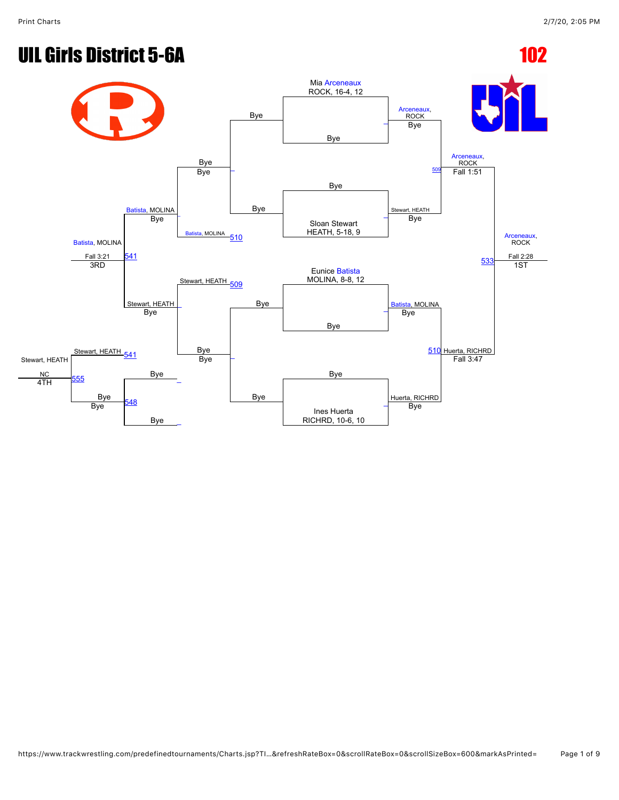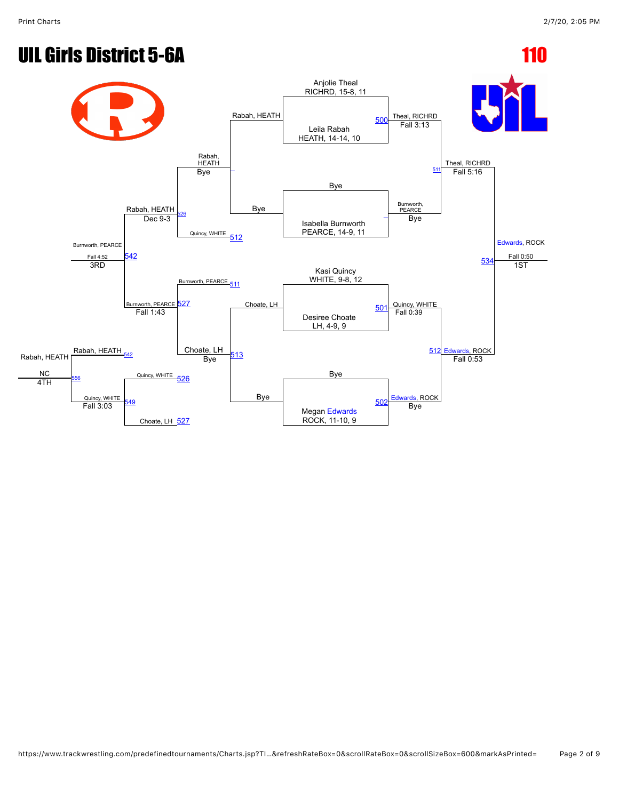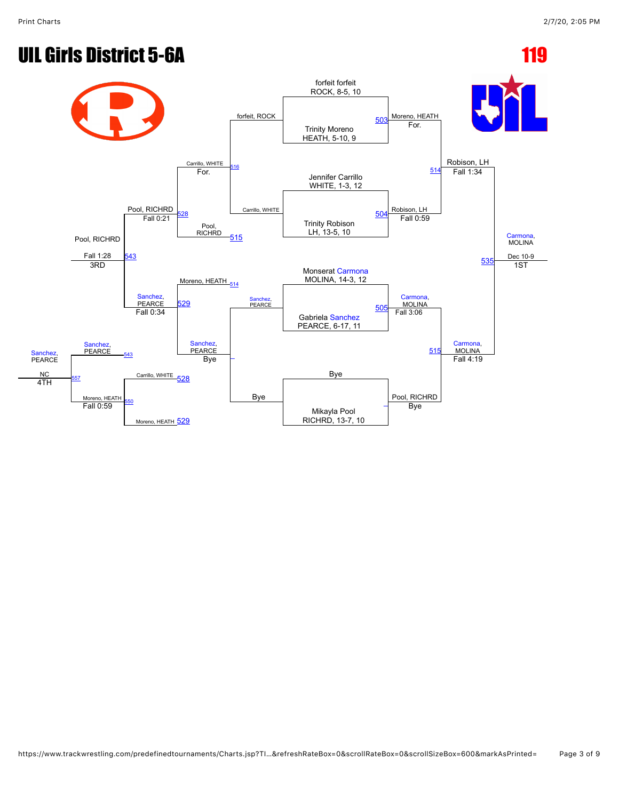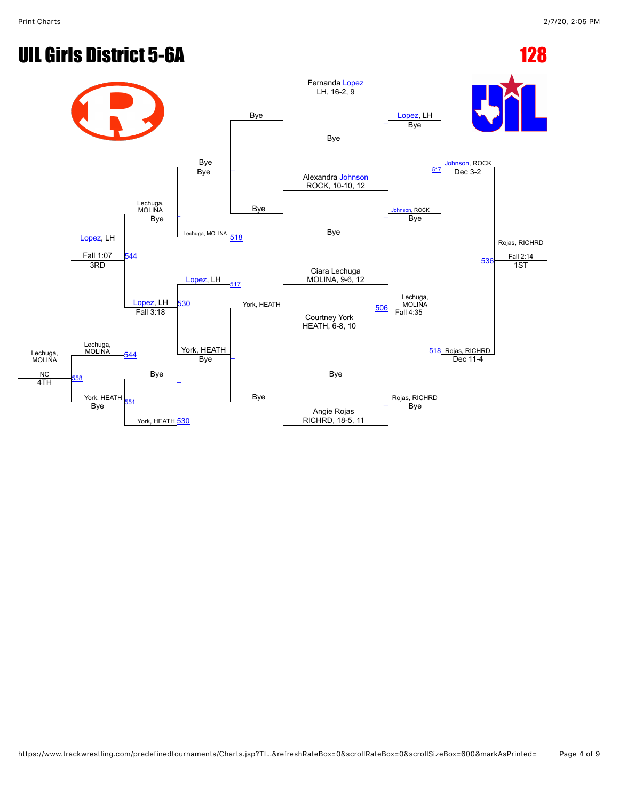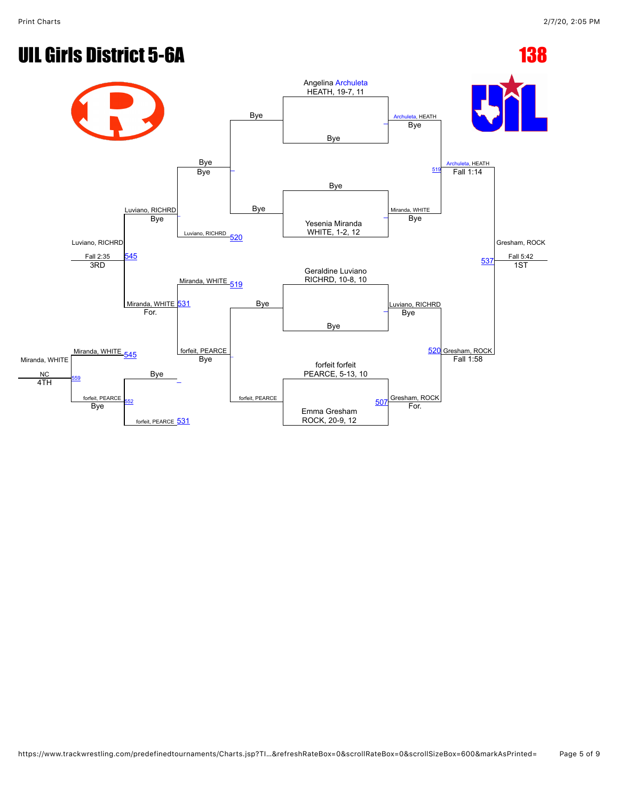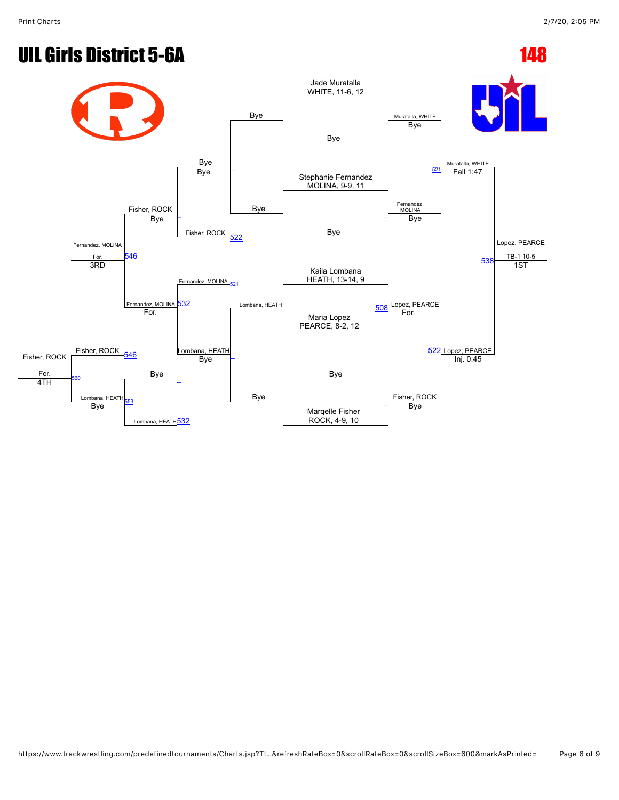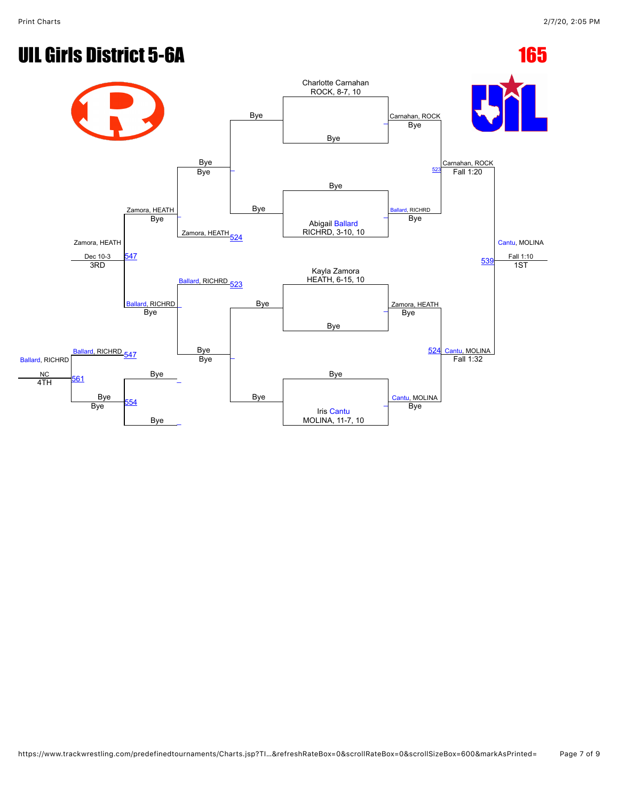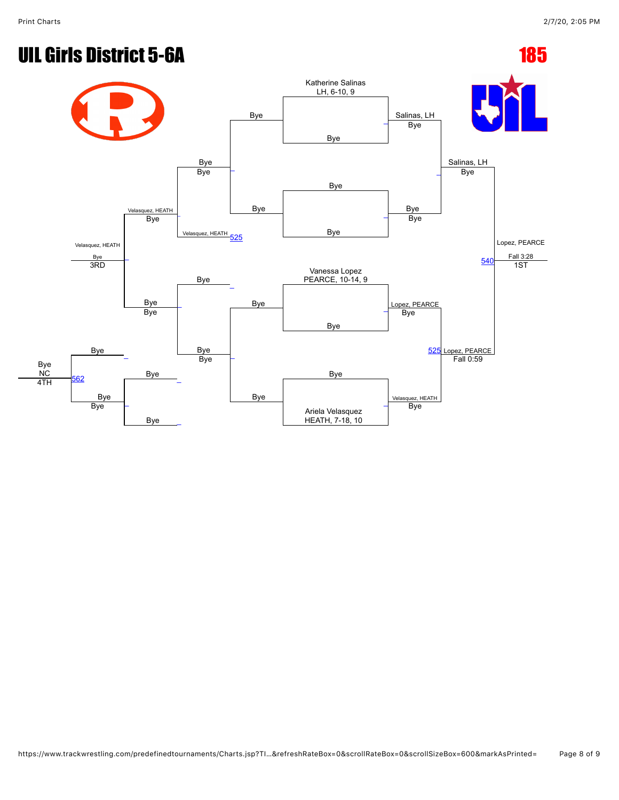